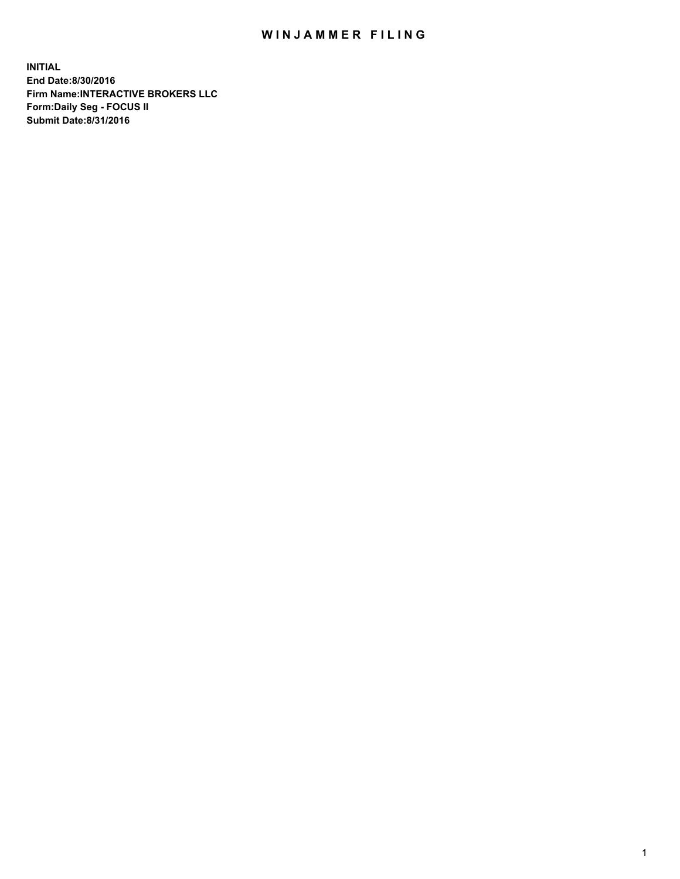## WIN JAMMER FILING

**INITIAL End Date:8/30/2016 Firm Name:INTERACTIVE BROKERS LLC Form:Daily Seg - FOCUS II Submit Date:8/31/2016**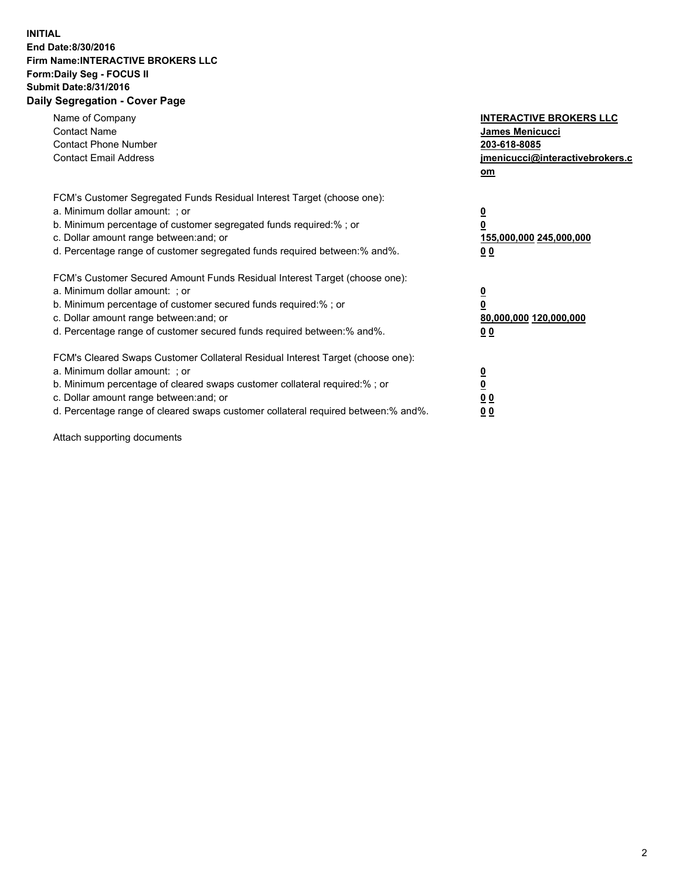## **INITIAL End Date:8/30/2016 Firm Name:INTERACTIVE BROKERS LLC Form:Daily Seg - FOCUS II Submit Date:8/31/2016 Daily Segregation - Cover Page**

| Name of Company<br><b>Contact Name</b><br><b>Contact Phone Number</b><br><b>Contact Email Address</b>                                                                                                                                                                                                                          | <b>INTERACTIVE BROKERS LLC</b><br><b>James Menicucci</b><br>203-618-8085<br>jmenicucci@interactivebrokers.c<br>om |
|--------------------------------------------------------------------------------------------------------------------------------------------------------------------------------------------------------------------------------------------------------------------------------------------------------------------------------|-------------------------------------------------------------------------------------------------------------------|
| FCM's Customer Segregated Funds Residual Interest Target (choose one):<br>a. Minimum dollar amount: ; or<br>b. Minimum percentage of customer segregated funds required:% ; or<br>c. Dollar amount range between: and; or<br>d. Percentage range of customer segregated funds required between: % and %.                       | $\overline{\mathbf{0}}$<br>0<br>155,000,000 245,000,000<br>00                                                     |
| FCM's Customer Secured Amount Funds Residual Interest Target (choose one):<br>a. Minimum dollar amount: ; or<br>b. Minimum percentage of customer secured funds required:%; or<br>c. Dollar amount range between: and; or<br>d. Percentage range of customer secured funds required between: % and %.                          | $\overline{\mathbf{0}}$<br>0<br>80,000,000 120,000,000<br>00                                                      |
| FCM's Cleared Swaps Customer Collateral Residual Interest Target (choose one):<br>a. Minimum dollar amount: ; or<br>b. Minimum percentage of cleared swaps customer collateral required:% ; or<br>c. Dollar amount range between: and; or<br>d. Percentage range of cleared swaps customer collateral required between:% and%. | $\overline{\mathbf{0}}$<br>$\overline{\mathbf{0}}$<br>00<br>0 <sub>0</sub>                                        |

Attach supporting documents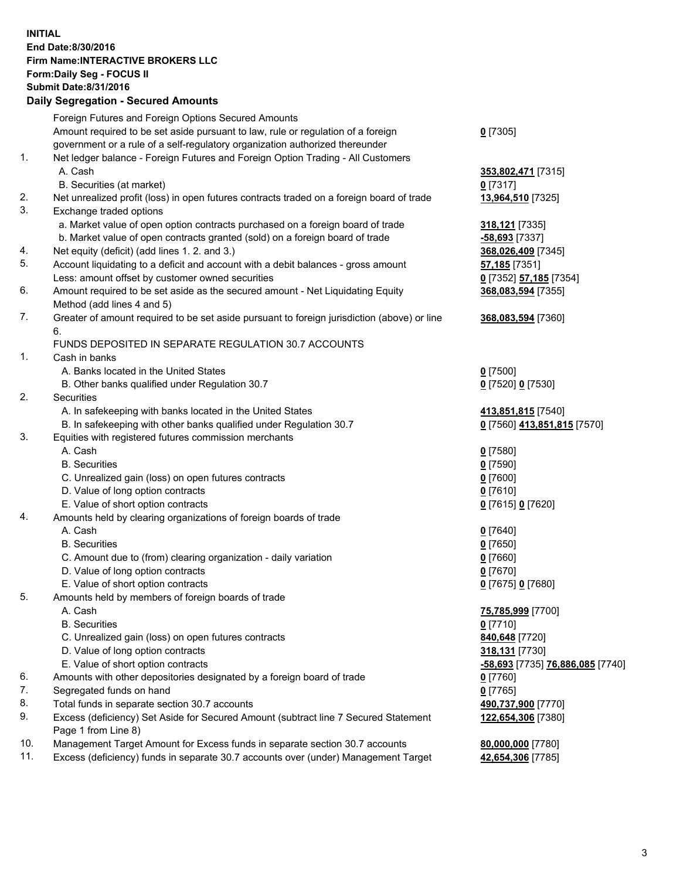## **INITIAL End Date:8/30/2016 Firm Name:INTERACTIVE BROKERS LLC Form:Daily Seg - FOCUS II Submit Date:8/31/2016 Daily Segregation - Secured Amounts**

|     | Daily Ocglegation - Occuled Amounts                                                                        |                                  |
|-----|------------------------------------------------------------------------------------------------------------|----------------------------------|
|     | Foreign Futures and Foreign Options Secured Amounts                                                        |                                  |
|     | Amount required to be set aside pursuant to law, rule or regulation of a foreign                           | $0$ [7305]                       |
|     | government or a rule of a self-regulatory organization authorized thereunder                               |                                  |
| 1.  | Net ledger balance - Foreign Futures and Foreign Option Trading - All Customers                            |                                  |
|     | A. Cash                                                                                                    | 353,802,471 [7315]               |
|     | B. Securities (at market)                                                                                  | $0$ [7317]                       |
| 2.  | Net unrealized profit (loss) in open futures contracts traded on a foreign board of trade                  | 13,964,510 [7325]                |
| 3.  | Exchange traded options                                                                                    |                                  |
|     | a. Market value of open option contracts purchased on a foreign board of trade                             | 318,121 [7335]                   |
|     | b. Market value of open contracts granted (sold) on a foreign board of trade                               | $-58,693$ [7337]                 |
| 4.  | Net equity (deficit) (add lines 1. 2. and 3.)                                                              | 368,026,409 [7345]               |
| 5.  | Account liquidating to a deficit and account with a debit balances - gross amount                          | <b>57,185</b> [7351]             |
|     | Less: amount offset by customer owned securities                                                           | 0 [7352] 57,185 [7354]           |
| 6.  | Amount required to be set aside as the secured amount - Net Liquidating Equity                             | 368,083,594 [7355]               |
|     | Method (add lines 4 and 5)                                                                                 |                                  |
| 7.  | Greater of amount required to be set aside pursuant to foreign jurisdiction (above) or line                | 368,083,594 [7360]               |
|     | 6.                                                                                                         |                                  |
|     | FUNDS DEPOSITED IN SEPARATE REGULATION 30.7 ACCOUNTS                                                       |                                  |
| 1.  | Cash in banks                                                                                              |                                  |
|     | A. Banks located in the United States                                                                      | $0$ [7500]                       |
|     | B. Other banks qualified under Regulation 30.7                                                             | 0 [7520] 0 [7530]                |
| 2.  | Securities                                                                                                 |                                  |
|     | A. In safekeeping with banks located in the United States                                                  | 413,851,815 [7540]               |
|     | B. In safekeeping with other banks qualified under Regulation 30.7                                         | 0 [7560] 413,851,815 [7570]      |
| 3.  | Equities with registered futures commission merchants                                                      |                                  |
|     | A. Cash                                                                                                    | $0$ [7580]                       |
|     | <b>B.</b> Securities                                                                                       | $0$ [7590]                       |
|     | C. Unrealized gain (loss) on open futures contracts                                                        | $0$ [7600]                       |
|     | D. Value of long option contracts                                                                          | $0$ [7610]                       |
|     | E. Value of short option contracts                                                                         | 0 [7615] 0 [7620]                |
| 4.  | Amounts held by clearing organizations of foreign boards of trade                                          |                                  |
|     | A. Cash                                                                                                    | $0$ [7640]                       |
|     | <b>B.</b> Securities                                                                                       | $0$ [7650]                       |
|     | C. Amount due to (from) clearing organization - daily variation                                            | $0$ [7660]                       |
|     | D. Value of long option contracts                                                                          | $0$ [7670]                       |
|     | E. Value of short option contracts                                                                         | 0 [7675] 0 [7680]                |
| 5.  | Amounts held by members of foreign boards of trade                                                         |                                  |
|     | A. Cash                                                                                                    | 75,785,999 [7700]                |
|     | <b>B.</b> Securities                                                                                       | $0$ [7710]                       |
|     | C. Unrealized gain (loss) on open futures contracts                                                        | 840,648 [7720]                   |
|     | D. Value of long option contracts                                                                          | 318,131 [7730]                   |
|     | E. Value of short option contracts                                                                         | -58,693 [7735] 76,886,085 [7740] |
| 6.  | Amounts with other depositories designated by a foreign board of trade                                     | 0 [7760]                         |
| 7.  | Segregated funds on hand                                                                                   | $0$ [7765]                       |
| 8.  | Total funds in separate section 30.7 accounts                                                              | 490,737,900 [7770]               |
| 9.  | Excess (deficiency) Set Aside for Secured Amount (subtract line 7 Secured Statement<br>Page 1 from Line 8) | 122,654,306 [7380]               |
| 10. | Management Target Amount for Excess funds in separate section 30.7 accounts                                | 80,000,000 [7780]                |
| 11. | Excess (deficiency) funds in separate 30.7 accounts over (under) Management Target                         | 42,654,306 [7785]                |
|     |                                                                                                            |                                  |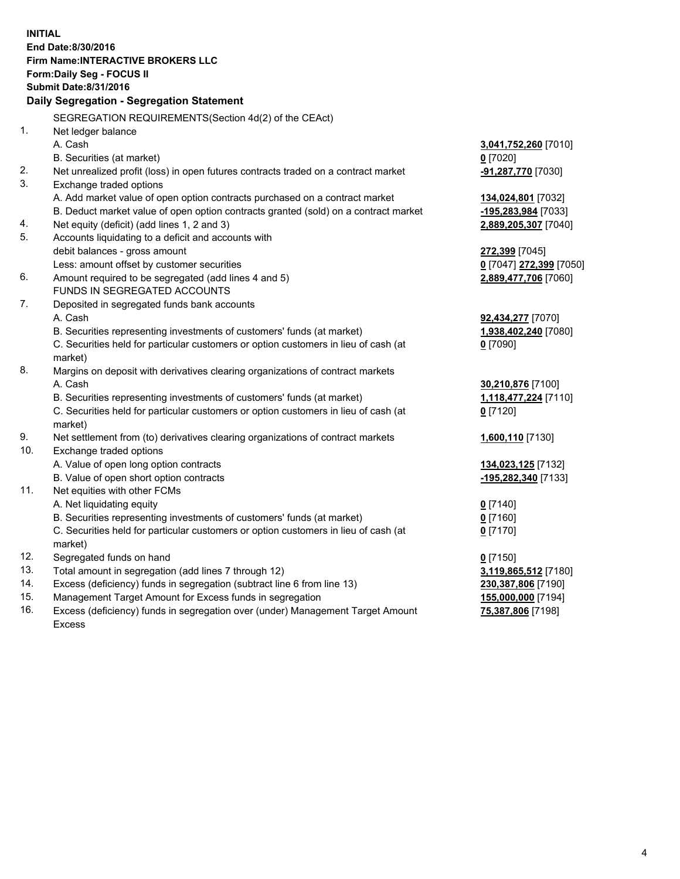**INITIAL End Date:8/30/2016 Firm Name:INTERACTIVE BROKERS LLC Form:Daily Seg - FOCUS II Submit Date:8/31/2016 Daily Segregation - Segregation Statement** SEGREGATION REQUIREMENTS(Section 4d(2) of the CEAct) 1. Net ledger balance A. Cash **3,041,752,260** [7010] B. Securities (at market) **0** [7020] 2. Net unrealized profit (loss) in open futures contracts traded on a contract market **-91,287,770** [7030] 3. Exchange traded options A. Add market value of open option contracts purchased on a contract market **134,024,801** [7032] B. Deduct market value of open option contracts granted (sold) on a contract market **-195,283,984** [7033] 4. Net equity (deficit) (add lines 1, 2 and 3) **2,889,205,307** [7040] 5. Accounts liquidating to a deficit and accounts with debit balances - gross amount **272,399** [7045] Less: amount offset by customer securities **0** [7047] **272,399** [7050] 6. Amount required to be segregated (add lines 4 and 5) **2,889,477,706** [7060] FUNDS IN SEGREGATED ACCOUNTS 7. Deposited in segregated funds bank accounts A. Cash **92,434,277** [7070] B. Securities representing investments of customers' funds (at market) **1,938,402,240** [7080] C. Securities held for particular customers or option customers in lieu of cash (at market) **0** [7090] 8. Margins on deposit with derivatives clearing organizations of contract markets A. Cash **30,210,876** [7100] B. Securities representing investments of customers' funds (at market) **1,118,477,224** [7110] C. Securities held for particular customers or option customers in lieu of cash (at market) **0** [7120] 9. Net settlement from (to) derivatives clearing organizations of contract markets **1,600,110** [7130] 10. Exchange traded options A. Value of open long option contracts **134,023,125** [7132] B. Value of open short option contracts **-195,282,340** [7133] 11. Net equities with other FCMs A. Net liquidating equity **0** [7140] B. Securities representing investments of customers' funds (at market) **0** [7160] C. Securities held for particular customers or option customers in lieu of cash (at market) **0** [7170] 12. Segregated funds on hand **0** [7150] 13. Total amount in segregation (add lines 7 through 12) **3,119,865,512** [7180] 14. Excess (deficiency) funds in segregation (subtract line 6 from line 13) **230,387,806** [7190] 15. Management Target Amount for Excess funds in segregation **155,000,000** [7194] **75,387,806** [7198]

16. Excess (deficiency) funds in segregation over (under) Management Target Amount Excess